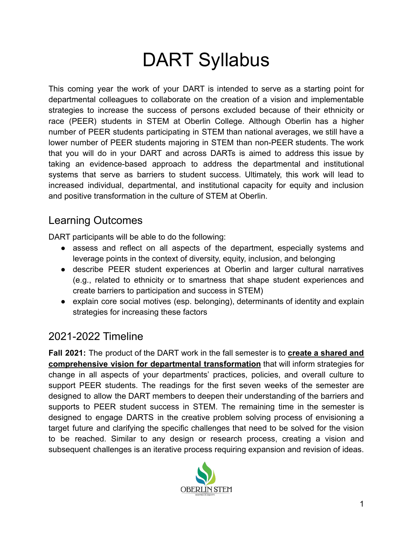# DART Syllabus

This coming year the work of your DART is intended to serve as a starting point for departmental colleagues to collaborate on the creation of a vision and implementable strategies to increase the success of persons excluded because of their ethnicity or race (PEER) students in STEM at Oberlin College. Although Oberlin has a higher number of PEER students participating in STEM than national averages, we still have a lower number of PEER students majoring in STEM than non-PEER students. The work that you will do in your DART and across DARTs is aimed to address this issue by taking an evidence-based approach to address the departmental and institutional systems that serve as barriers to student success. Ultimately, this work will lead to increased individual, departmental, and institutional capacity for equity and inclusion and positive transformation in the culture of STEM at Oberlin.

## Learning Outcomes

DART participants will be able to do the following:

- assess and reflect on all aspects of the department, especially systems and leverage points in the context of diversity, equity, inclusion, and belonging
- describe PEER student experiences at Oberlin and larger cultural narratives (e.g., related to ethnicity or to smartness that shape student experiences and create barriers to participation and success in STEM)
- explain core social motives (esp. belonging), determinants of identity and explain strategies for increasing these factors

# 2021-2022 Timeline

**Fall 2021:** The product of the DART work in the fall semester is to **create a shared and comprehensive vision for departmental transformation** that will inform strategies for change in all aspects of your departments' practices, policies, and overall culture to support PEER students. The readings for the first seven weeks of the semester are designed to allow the DART members to deepen their understanding of the barriers and supports to PEER student success in STEM. The remaining time in the semester is designed to engage DARTS in the creative problem solving process of envisioning a target future and clarifying the specific challenges that need to be solved for the vision to be reached. Similar to any design or research process, creating a vision and subsequent challenges is an iterative process requiring expansion and revision of ideas.

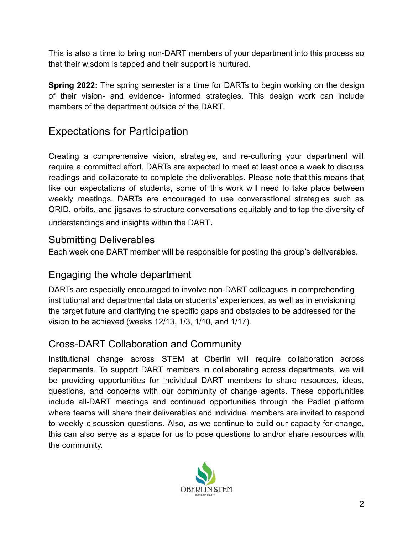This is also a time to bring non-DART members of your department into this process so that their wisdom is tapped and their support is nurtured.

**Spring 2022:** The spring semester is a time for DARTs to begin working on the design of their vision- and evidence- informed strategies. This design work can include members of the department outside of the DART.

# Expectations for Participation

Creating a comprehensive vision, strategies, and re-culturing your department will require a committed effort. DARTs are expected to meet at least once a week to discuss readings and collaborate to complete the deliverables. Please note that this means that like our expectations of students, some of this work will need to take place between weekly meetings. DARTs are encouraged to use conversational strategies such as ORID, orbits, and jigsaws to structure conversations equitably and to tap the diversity of understandings and insights within the DART.

#### Submitting Deliverables

Each week one DART member will be responsible for posting the group's deliverables.

#### Engaging the whole department

DARTs are especially encouraged to involve non-DART colleagues in comprehending institutional and departmental data on students' experiences, as well as in envisioning the target future and clarifying the specific gaps and obstacles to be addressed for the vision to be achieved (weeks 12/13, 1/3, 1/10, and 1/17).

## Cross-DART Collaboration and Community

Institutional change across STEM at Oberlin will require collaboration across departments. To support DART members in collaborating across departments, we will be providing opportunities for individual DART members to share resources, ideas, questions, and concerns with our community of change agents. These opportunities include all-DART meetings and continued opportunities through the Padlet platform where teams will share their deliverables and individual members are invited to respond to weekly discussion questions. Also, as we continue to build our capacity for change, this can also serve as a space for us to pose questions to and/or share resources with the community.

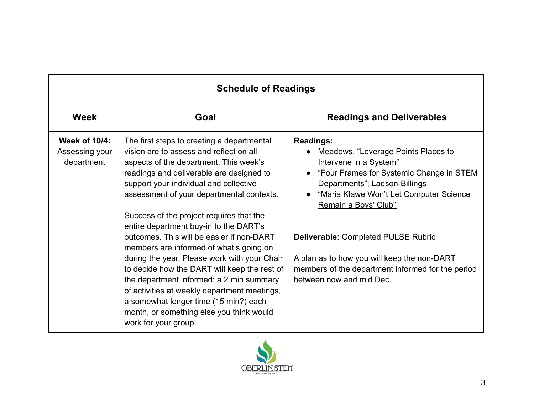| <b>Schedule of Readings</b>                          |                                                                                                                                                                                                                                                                                                                                                                                                                                                                                                                                                                                                                                                                                                                                                           |                                                                                                                                                                                                                                                                                                                                                                                                                                           |
|------------------------------------------------------|-----------------------------------------------------------------------------------------------------------------------------------------------------------------------------------------------------------------------------------------------------------------------------------------------------------------------------------------------------------------------------------------------------------------------------------------------------------------------------------------------------------------------------------------------------------------------------------------------------------------------------------------------------------------------------------------------------------------------------------------------------------|-------------------------------------------------------------------------------------------------------------------------------------------------------------------------------------------------------------------------------------------------------------------------------------------------------------------------------------------------------------------------------------------------------------------------------------------|
| <b>Week</b>                                          | Goal                                                                                                                                                                                                                                                                                                                                                                                                                                                                                                                                                                                                                                                                                                                                                      | <b>Readings and Deliverables</b>                                                                                                                                                                                                                                                                                                                                                                                                          |
| <b>Week of 10/4:</b><br>Assessing your<br>department | The first steps to creating a departmental<br>vision are to assess and reflect on all<br>aspects of the department. This week's<br>readings and deliverable are designed to<br>support your individual and collective<br>assessment of your departmental contexts.<br>Success of the project requires that the<br>entire department buy-in to the DART's<br>outcomes. This will be easier if non-DART<br>members are informed of what's going on<br>during the year. Please work with your Chair<br>to decide how the DART will keep the rest of<br>the department informed: a 2 min summary<br>of activities at weekly department meetings,<br>a somewhat longer time (15 min?) each<br>month, or something else you think would<br>work for your group. | <b>Readings:</b><br>Meadows, "Leverage Points Places to<br>Intervene in a System"<br>"Four Frames for Systemic Change in STEM<br>$\bullet$<br>Departments"; Ladson-Billings<br>"Maria Klawe Won't Let Computer Science<br>$\bullet$<br>Remain a Boys' Club"<br><b>Deliverable: Completed PULSE Rubric</b><br>A plan as to how you will keep the non-DART<br>members of the department informed for the period<br>between now and mid Dec. |

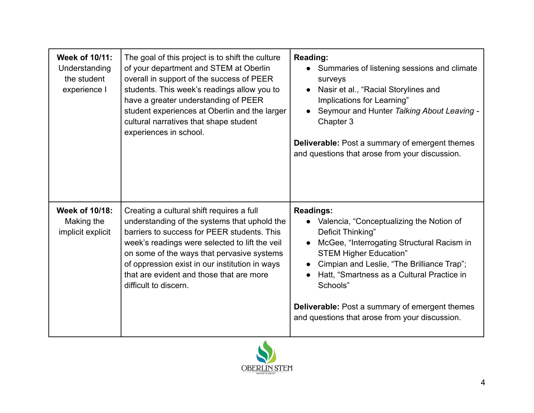| Week of 10/11:<br>Understanding<br>the student<br>experience I | The goal of this project is to shift the culture<br>of your department and STEM at Oberlin<br>overall in support of the success of PEER<br>students. This week's readings allow you to<br>have a greater understanding of PEER<br>student experiences at Oberlin and the larger<br>cultural narratives that shape student<br>experiences in school.             | Reading:<br>Summaries of listening sessions and climate<br>surveys<br>Nasir et al., "Racial Storylines and<br>$\bullet$<br>Implications for Learning"<br>Seymour and Hunter Talking About Leaving -<br>Chapter 3<br><b>Deliverable:</b> Post a summary of emergent themes<br>and questions that arose from your discussion.                                                                                     |
|----------------------------------------------------------------|-----------------------------------------------------------------------------------------------------------------------------------------------------------------------------------------------------------------------------------------------------------------------------------------------------------------------------------------------------------------|-----------------------------------------------------------------------------------------------------------------------------------------------------------------------------------------------------------------------------------------------------------------------------------------------------------------------------------------------------------------------------------------------------------------|
| Week of 10/18:<br>Making the<br>implicit explicit              | Creating a cultural shift requires a full<br>understanding of the systems that uphold the<br>barriers to success for PEER students. This<br>week's readings were selected to lift the veil<br>on some of the ways that pervasive systems<br>of oppression exist in our institution in ways<br>that are evident and those that are more<br>difficult to discern. | <b>Readings:</b><br>• Valencia, "Conceptualizing the Notion of<br>Deficit Thinking"<br>McGee, "Interrogating Structural Racism in<br>$\bullet$<br><b>STEM Higher Education"</b><br>Cimpian and Leslie, "The Brilliance Trap";<br>$\bullet$<br>Hatt, "Smartness as a Cultural Practice in<br>Schools"<br><b>Deliverable:</b> Post a summary of emergent themes<br>and questions that arose from your discussion. |

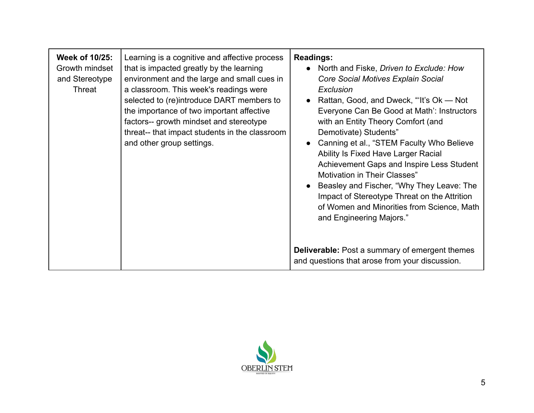| Week of 10/25:<br>Growth mindset<br>and Stereotype<br>Threat | Learning is a cognitive and affective process<br>that is impacted greatly by the learning<br>environment and the large and small cues in<br>a classroom. This week's readings were<br>selected to (re)introduce DART members to<br>the importance of two important affective<br>factors-- growth mindset and stereotype<br>threat-- that impact students in the classroom<br>and other group settings. | <b>Readings:</b><br>• North and Fiske, Driven to Exclude: How<br>Core Social Motives Explain Social<br>Exclusion<br>Rattan, Good, and Dweck, "It's Ok — Not<br>$\bullet$<br>Everyone Can Be Good at Math': Instructors<br>with an Entity Theory Comfort (and<br>Demotivate) Students"<br>Canning et al., "STEM Faculty Who Believe<br>$\bullet$<br>Ability Is Fixed Have Larger Racial<br>Achievement Gaps and Inspire Less Student<br><b>Motivation in Their Classes"</b><br>Beasley and Fischer, "Why They Leave: The<br>Impact of Stereotype Threat on the Attrition<br>of Women and Minorities from Science, Math<br>and Engineering Majors." |
|--------------------------------------------------------------|--------------------------------------------------------------------------------------------------------------------------------------------------------------------------------------------------------------------------------------------------------------------------------------------------------------------------------------------------------------------------------------------------------|---------------------------------------------------------------------------------------------------------------------------------------------------------------------------------------------------------------------------------------------------------------------------------------------------------------------------------------------------------------------------------------------------------------------------------------------------------------------------------------------------------------------------------------------------------------------------------------------------------------------------------------------------|
|                                                              |                                                                                                                                                                                                                                                                                                                                                                                                        | <b>Deliverable:</b> Post a summary of emergent themes<br>and questions that arose from your discussion.                                                                                                                                                                                                                                                                                                                                                                                                                                                                                                                                           |

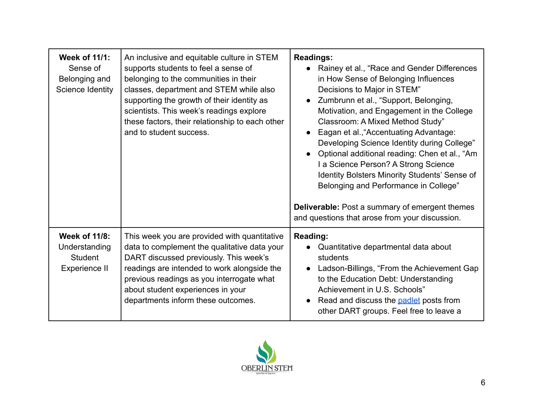| <b>Week of 11/1:</b><br>Sense of<br>Belonging and<br>Science Identity | An inclusive and equitable culture in STEM<br>supports students to feel a sense of<br>belonging to the communities in their<br>classes, department and STEM while also<br>supporting the growth of their identity as<br>scientists. This week's readings explore<br>these factors, their relationship to each other<br>and to student success. | <b>Readings:</b><br>Rainey et al., "Race and Gender Differences<br>in How Sense of Belonging Influences<br>Decisions to Major in STEM"<br>Zumbrunn et al., "Support, Belonging,<br>$\bullet$<br>Motivation, and Engagement in the College<br>Classroom: A Mixed Method Study"<br>Eagan et al., "Accentuating Advantage:<br>Developing Science Identity during College"<br>Optional additional reading: Chen et al., "Am<br>I a Science Person? A Strong Science<br>Identity Bolsters Minority Students' Sense of<br>Belonging and Performance in College"<br><b>Deliverable:</b> Post a summary of emergent themes<br>and questions that arose from your discussion. |
|-----------------------------------------------------------------------|------------------------------------------------------------------------------------------------------------------------------------------------------------------------------------------------------------------------------------------------------------------------------------------------------------------------------------------------|----------------------------------------------------------------------------------------------------------------------------------------------------------------------------------------------------------------------------------------------------------------------------------------------------------------------------------------------------------------------------------------------------------------------------------------------------------------------------------------------------------------------------------------------------------------------------------------------------------------------------------------------------------------------|
| <b>Week of 11/8:</b><br>Understanding<br>Student<br>Experience II     | This week you are provided with quantitative<br>data to complement the qualitative data your<br>DART discussed previously. This week's<br>readings are intended to work alongside the<br>previous readings as you interrogate what<br>about student experiences in your<br>departments inform these outcomes.                                  | <b>Reading:</b><br>Quantitative departmental data about<br>students<br>Ladson-Billings, "From the Achievement Gap<br>to the Education Debt: Understanding<br>Achievement in U.S. Schools"<br>Read and discuss the <b>padlet</b> posts from<br>other DART groups. Feel free to leave a                                                                                                                                                                                                                                                                                                                                                                                |

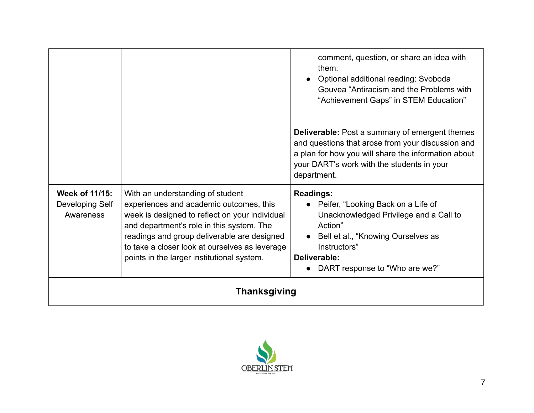|                                                |                                                                                                                                                                                                                                                                                                                           | comment, question, or share an idea with<br>them.<br>Optional additional reading: Svoboda<br>$\bullet$<br>Gouvea "Antiracism and the Problems with<br>"Achievement Gaps" in STEM Education"                                        |
|------------------------------------------------|---------------------------------------------------------------------------------------------------------------------------------------------------------------------------------------------------------------------------------------------------------------------------------------------------------------------------|------------------------------------------------------------------------------------------------------------------------------------------------------------------------------------------------------------------------------------|
|                                                |                                                                                                                                                                                                                                                                                                                           | <b>Deliverable:</b> Post a summary of emergent themes<br>and questions that arose from your discussion and<br>a plan for how you will share the information about<br>your DART's work with the students in your<br>department.     |
| Week of 11/15:<br>Developing Self<br>Awareness | With an understanding of student<br>experiences and academic outcomes, this<br>week is designed to reflect on your individual<br>and department's role in this system. The<br>readings and group deliverable are designed<br>to take a closer look at ourselves as leverage<br>points in the larger institutional system. | <b>Readings:</b><br>• Peifer, "Looking Back on a Life of<br>Unacknowledged Privilege and a Call to<br>Action"<br>Bell et al., "Knowing Ourselves as<br>$\bullet$<br>Instructors"<br>Deliverable:<br>DART response to "Who are we?" |
| <b>Thanksgiving</b>                            |                                                                                                                                                                                                                                                                                                                           |                                                                                                                                                                                                                                    |

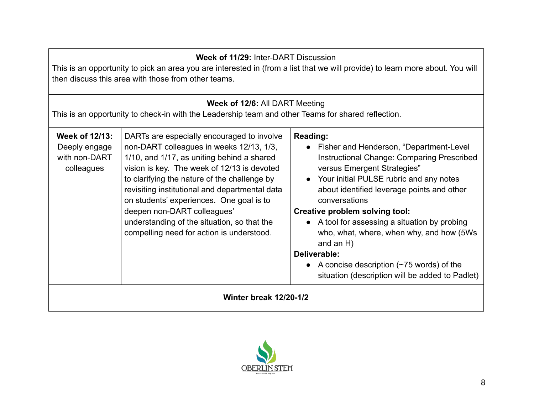| Week of 11/29: Inter-DART Discussion<br>This is an opportunity to pick an area you are interested in (from a list that we will provide) to learn more about. You will<br>then discuss this area with those from other teams. |                                                                                                                                                                                                                                                                                                                                                                                                                                                              |                                                                                                                                                                                                                                                                                                                                                                                                                                                                                                                                         |
|------------------------------------------------------------------------------------------------------------------------------------------------------------------------------------------------------------------------------|--------------------------------------------------------------------------------------------------------------------------------------------------------------------------------------------------------------------------------------------------------------------------------------------------------------------------------------------------------------------------------------------------------------------------------------------------------------|-----------------------------------------------------------------------------------------------------------------------------------------------------------------------------------------------------------------------------------------------------------------------------------------------------------------------------------------------------------------------------------------------------------------------------------------------------------------------------------------------------------------------------------------|
| Week of 12/6: All DART Meeting<br>This is an opportunity to check-in with the Leadership team and other Teams for shared reflection.                                                                                         |                                                                                                                                                                                                                                                                                                                                                                                                                                                              |                                                                                                                                                                                                                                                                                                                                                                                                                                                                                                                                         |
| <b>Week of 12/13:</b><br>Deeply engage<br>with non-DART<br>colleagues                                                                                                                                                        | DARTs are especially encouraged to involve<br>non-DART colleagues in weeks 12/13, 1/3,<br>1/10, and 1/17, as uniting behind a shared<br>vision is key. The week of 12/13 is devoted<br>to clarifying the nature of the challenge by<br>revisiting institutional and departmental data<br>on students' experiences. One goal is to<br>deepen non-DART colleagues'<br>understanding of the situation, so that the<br>compelling need for action is understood. | Reading:<br>• Fisher and Henderson, "Department-Level<br><b>Instructional Change: Comparing Prescribed</b><br>versus Emergent Strategies"<br>Your initial PULSE rubric and any notes<br>$\bullet$<br>about identified leverage points and other<br>conversations<br>Creative problem solving tool:<br>• A tool for assessing a situation by probing<br>who, what, where, when why, and how (5Ws)<br>and an $H$ )<br>Deliverable:<br>• A concise description $(\sim 75$ words) of the<br>situation (description will be added to Padlet) |
| <b>Winter break 12/20-1/2</b>                                                                                                                                                                                                |                                                                                                                                                                                                                                                                                                                                                                                                                                                              |                                                                                                                                                                                                                                                                                                                                                                                                                                                                                                                                         |

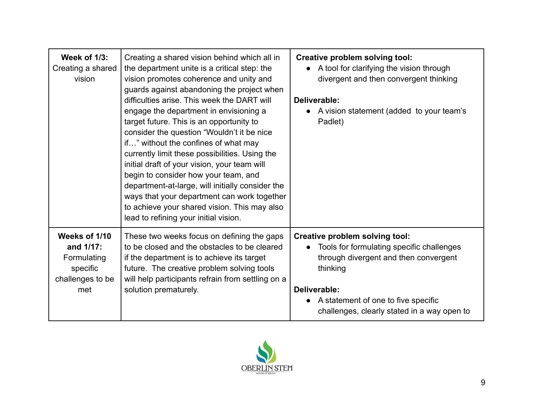| <b>Week of 1/3:</b><br>Creating a shared<br>vision                               | Creating a shared vision behind which all in<br>the department unite is a critical step: the<br>vision promotes coherence and unity and<br>guards against abandoning the project when<br>difficulties arise. This week the DART will<br>engage the department in envisioning a<br>target future. This is an opportunity to<br>consider the question "Wouldn't it be nice<br>if" without the confines of what may<br>currently limit these possibilities. Using the<br>initial draft of your vision, your team will<br>begin to consider how your team, and<br>department-at-large, will initially consider the<br>ways that your department can work together<br>to achieve your shared vision. This may also<br>lead to refining your initial vision. | <b>Creative problem solving tool:</b><br>• A tool for clarifying the vision through<br>divergent and then convergent thinking<br>Deliverable:<br>A vision statement (added to your team's<br>Padlet)                                                |
|----------------------------------------------------------------------------------|--------------------------------------------------------------------------------------------------------------------------------------------------------------------------------------------------------------------------------------------------------------------------------------------------------------------------------------------------------------------------------------------------------------------------------------------------------------------------------------------------------------------------------------------------------------------------------------------------------------------------------------------------------------------------------------------------------------------------------------------------------|-----------------------------------------------------------------------------------------------------------------------------------------------------------------------------------------------------------------------------------------------------|
| Weeks of 1/10<br>and 1/17:<br>Formulating<br>specific<br>challenges to be<br>met | These two weeks focus on defining the gaps<br>to be closed and the obstacles to be cleared<br>if the department is to achieve its target<br>future. The creative problem solving tools<br>will help participants refrain from settling on a<br>solution prematurely.                                                                                                                                                                                                                                                                                                                                                                                                                                                                                   | Creative problem solving tool:<br>Tools for formulating specific challenges<br>$\bullet$<br>through divergent and then convergent<br>thinking<br>Deliverable:<br>A statement of one to five specific<br>challenges, clearly stated in a way open to |